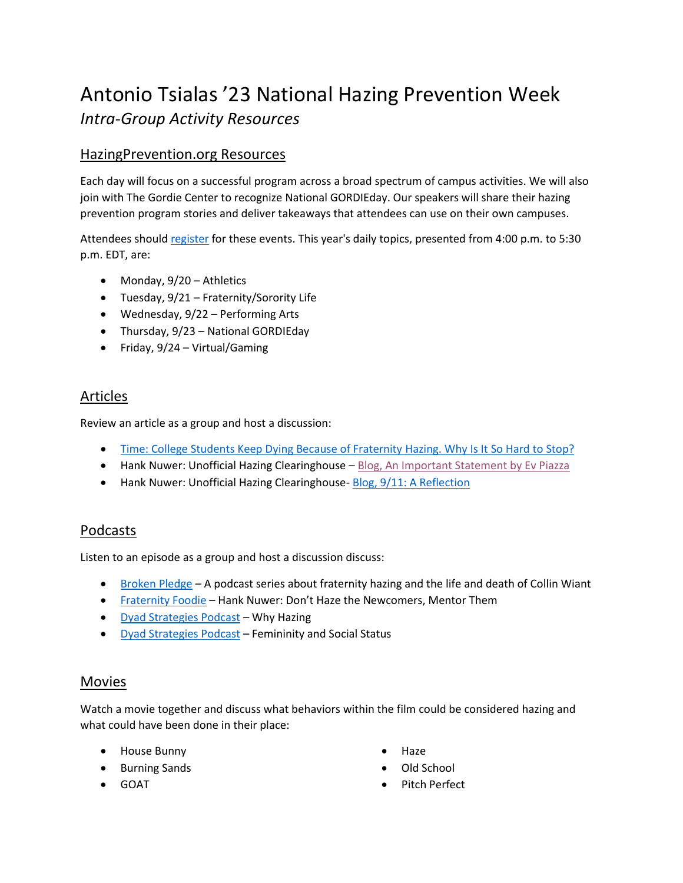# Antonio Tsialas '23 National Hazing Prevention Week *Intra-Group Activity Resources*

# HazingPrevention.org Resources

Each day will focus on a successful program across a broad spectrum of campus activities. We will also join with The Gordie Center to recognize National GORDIEday. Our speakers will share their hazing prevention program stories and deliver takeaways that attendees can use on their own campuses.

Attendees should [register](https://hazingprevention.org/component/civicrm/?task=civicrm/event/register&id=5&reset=1) for these events. This year's daily topics, presented from 4:00 p.m. to 5:30 p.m. EDT, are:

- Monday, 9/20 Athletics
- Tuesday, 9/21 Fraternity/Sorority Life
- Wednesday, 9/22 Performing Arts
- Thursday, 9/23 National GORDIEday
- Friday, 9/24 Virtual/Gaming

# Articles

Review an article as a group and host a discussion:

- [Time: College Students Keep Dying Because of Fraternity](https://time.com/4976836/fraternity-hazing-deaths-reform-tim-piazza/) Hazing. Why Is It So Hard to Stop?
- Hank Nuwer: Unofficial Hazing Clearinghouse [Blog, An Important Statement by Ev](https://www.hanknuwer.com/an-important-statement-by-ev-piazza/) Piazza
- Hank Nuwer: Unofficial Hazing Clearinghouse- [Blog, 9/11: A Reflection](https://www.hanknuwer.com/9-11-a-reflection/)

# Podcasts

Listen to an episode as a group and host a discussion discuss:

- [Broken Pledge](https://www.dispatch.com/in-depth/news/2021/05/17/broken-pledge-collin-wiant-fraternity-hazing-chapter-2-sigma-pi/5070955001/) A podcast series about fraternity hazing and the life and death of Collin Wiant
- **•** [Fraternity Foodie](https://podcasts.google.com/feed/aHR0cHM6Ly9ncmVla3VuaXZlcnNpdHkubGlic3luLmNvbS9yc3M/episode/M2VhMmUxMGUtMmZlYS00NGMwLTk4OTctM2U5YWI5Y2IyNWZi) Hank Nuwer: Don't Haze the Newcomers, Mentor Them
- [Dyad Strategies Podcast](https://www.dyadstrategies.com/podcast/why-hazing) Why Hazing
- [Dyad Strategies Podcast](https://www.dyadstrategies.com/podcast/2021/2/2/19-femininity-and-social-status) Femininity and Social Status

## Movies

Watch a movie together and discuss what behaviors within the film could be considered hazing and what could have been done in their place:

- House Bunny
- **•** Burning Sands
- GOAT
- Haze
- Old School
- Pitch Perfect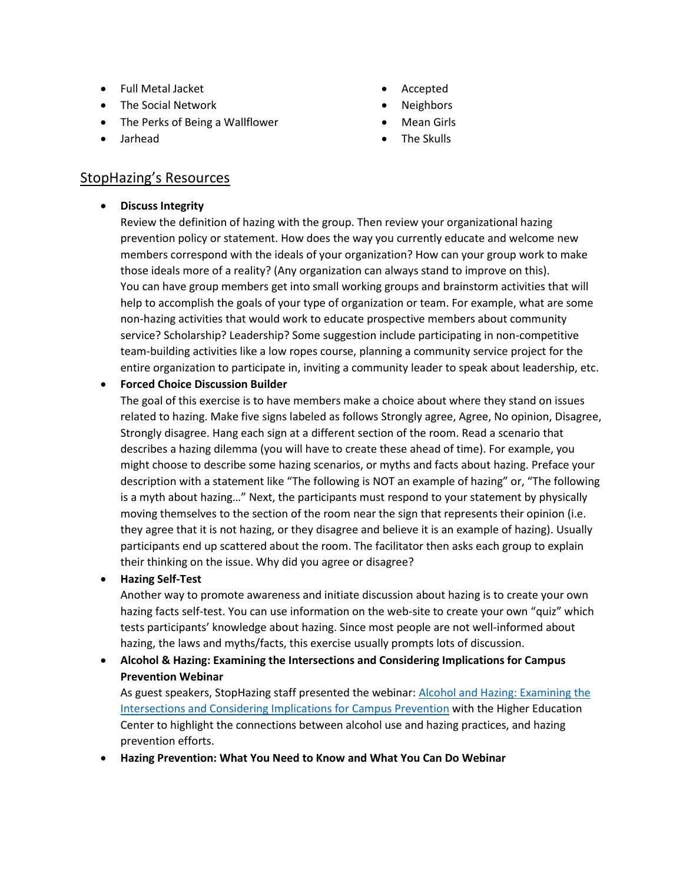- [Full Metal Jacket](https://www.youtube.com/watch?v=xc4VO4eyt4o)
- The Social Network
- The Perks of Being a Wallflower
- Jarhead
- Accepted
- Neighbors
- Mean Girls
- The Skulls

# StopHazing's Resources

#### **Discuss Integrity**

Review the definition of hazing with the group. Then review your organizational hazing prevention policy or statement. How does the way you currently educate and welcome new members correspond with the ideals of your organization? How can your group work to make those ideals more of a reality? (Any organization can always stand to improve on this). You can have group members get into small working groups and brainstorm activities that will help to accomplish the goals of your type of organization or team. For example, what are some non-hazing activities that would work to educate prospective members about community service? Scholarship? Leadership? Some suggestion include participating in non-competitive team-building activities like a low ropes course, planning a community service project for the entire organization to participate in, inviting a community leader to speak about leadership, etc.

#### **Forced Choice Discussion Builder**

The goal of this exercise is to have members make a choice about where they stand on issues related to hazing. Make five signs labeled as follows Strongly agree, Agree, No opinion, Disagree, Strongly disagree. Hang each sign at a different section of the room. Read a scenario that describes a hazing dilemma (you will have to create these ahead of time). For example, you might choose to describe some hazing scenarios, or myths and facts about hazing. Preface your description with a statement like "The following is NOT an example of hazing" or, "The following is a myth about hazing…" Next, the participants must respond to your statement by physically moving themselves to the section of the room near the sign that represents their opinion (i.e. they agree that it is not hazing, or they disagree and believe it is an example of hazing). Usually participants end up scattered about the room. The facilitator then asks each group to explain their thinking on the issue. Why did you agree or disagree?

#### **Hazing Self-Test**

Another way to promote awareness and initiate discussion about hazing is to create your own hazing facts self-test. You can use information on the web-site to create your own "quiz" which tests participants' knowledge about hazing. Since most people are not well-informed about hazing, the laws and myths/facts, this exercise usually prompts lots of discussion.

# **Alcohol & Hazing: Examining the Intersections and Considering Implications for Campus Prevention Webinar**

As guest speakers, StopHazing staff presented the webinar: [Alcohol and Hazing:](https://www.youtube.com/watch?v=VcwcgBi9dDk&feature=emb_title) Examining the Intersections and [Considering Implications for Campus Prevention](https://www.youtube.com/watch?v=VcwcgBi9dDk&feature=emb_title) with the Higher Education Center to highlight the connections between alcohol use and hazing practices, and hazing prevention efforts.

**Hazing Prevention: What You Need to Know and What You Can Do Webinar**